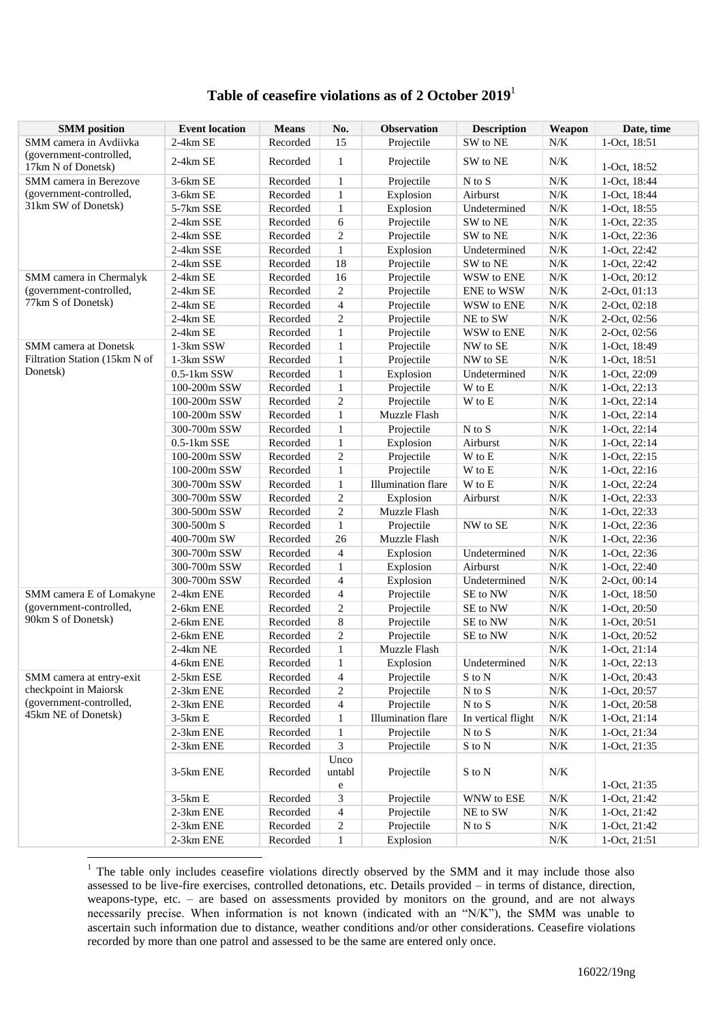## **Table of ceasefire violations as of 2 October 2019**<sup>1</sup>

| <b>SMM</b> position                           | <b>Event location</b>  | <b>Means</b> | No.                 | <b>Observation</b>                      | <b>Description</b>         | Weapon                 | Date, time                     |
|-----------------------------------------------|------------------------|--------------|---------------------|-----------------------------------------|----------------------------|------------------------|--------------------------------|
| SMM camera in Avdiivka                        | 2-4km SE               | Recorded     | 15                  | Projectile                              | SW to NE                   | N/K                    | 1-Oct, 18:51                   |
| (government-controlled,<br>17km N of Donetsk) | $2-4km$ SE             | Recorded     | $\mathbf{1}$        | Projectile                              | SW to NE                   | N/K                    | 1-Oct, 18:52                   |
| SMM camera in Berezove                        | 3-6km SE               | Recorded     | $\mathbf{1}$        | Projectile                              | $N$ to $S$                 | $N\!/\!K$              | 1-Oct, 18:44                   |
| (government-controlled,                       | 3-6km SE               | Recorded     | $\mathbf{1}$        | Explosion                               | Airburst                   | $N\!/\!K$              | 1-Oct, 18:44                   |
| 31km SW of Donetsk)                           | 5-7km SSE              | Recorded     | $\mathbf{1}$        | Explosion                               | Undetermined               | $N\!/\!K$              | 1-Oct, 18:55                   |
|                                               | 2-4km SSE              | Recorded     | 6                   | Projectile                              | SW to NE                   | $N\!/\!K$              | 1-Oct, 22:35                   |
|                                               | 2-4km SSE              | Recorded     | $\overline{c}$      | Projectile                              | SW to NE                   | $N\!/\!K$              | 1-Oct, 22:36                   |
|                                               | 2-4km SSE              | Recorded     | $\mathbf{1}$        | Explosion                               | Undetermined               | $N\!/\!K$              | 1-Oct, 22:42                   |
|                                               | 2-4km SSE              | Recorded     | 18                  | Projectile                              | SW to NE                   | $N\!/\!K$              | 1-Oct, 22:42                   |
| SMM camera in Chermalyk                       | $2-4km$ SE             | Recorded     | 16                  | Projectile                              | WSW to ENE                 | $N\!/\!K$              | 1-Oct, 20:12                   |
| (government-controlled,                       | $2-4km$ SE             | Recorded     | $\overline{c}$      | Projectile                              | ENE to WSW                 | $N\!/\!K$              | 2-Oct, 01:13                   |
| 77km S of Donetsk)                            | $2-4km$ SE             | Recorded     | $\overline{4}$      | Projectile                              | WSW to ENE                 | N/K                    | 2-Oct, 02:18                   |
|                                               | $2-4km$ SE             | Recorded     | $\overline{c}$      | Projectile                              | NE to SW                   | $N\!/\!K$              | 2-Oct, 02:56                   |
|                                               | $2-4km$ SE             | Recorded     | $\mathbf{1}$        | Projectile                              | WSW to ENE                 | $N\!/\!K$              | 2-Oct, 02:56                   |
| SMM camera at Donetsk                         | 1-3km SSW              | Recorded     | $\mathbf{1}$        | Projectile                              | NW to SE                   | $N\!/\!K$              | 1-Oct, 18:49                   |
| Filtration Station (15km N of                 | 1-3km SSW              | Recorded     | $\mathbf{1}$        | Projectile                              | NW to SE                   | $N\!/\!K$              | 1-Oct, 18:51                   |
| Donetsk)                                      | $0.5-1km$ SSW          | Recorded     | 1                   | Explosion                               | Undetermined               | $N\!/\!K$              | 1-Oct, 22:09                   |
|                                               | 100-200m SSW           | Recorded     | $\mathbf{1}$        | Projectile                              | W to E                     | $N\!/\!K$              | 1-Oct, 22:13                   |
|                                               | 100-200m SSW           | Recorded     | $\overline{c}$      | Projectile                              | W to E                     | $N\!/\!K$              | 1-Oct, 22:14                   |
|                                               | 100-200m SSW           | Recorded     | $\mathbf{1}$        | Muzzle Flash                            |                            | $N\!/\!K$              | 1-Oct, 22:14                   |
|                                               | 300-700m SSW           | Recorded     | $\mathbf{1}$        | Projectile                              | $N$ to $S$                 | $N\!/\!K$              | 1-Oct, 22:14                   |
|                                               | $0.5-1km$ SSE          | Recorded     | $\mathbf{1}$        | Explosion                               | Airburst                   | $N\!/\!K$              | 1-Oct, 22:14                   |
|                                               | 100-200m SSW           | Recorded     | $\overline{c}$      | Projectile                              | W to E                     | $N\!/\!K$              | 1-Oct, 22:15                   |
|                                               | 100-200m SSW           | Recorded     | $\mathbf{1}$        | Projectile                              | W to E                     | $N\!/\!K$              | $1-Oct, 22:16$                 |
|                                               | 300-700m SSW           | Recorded     | 1                   | <b>Illumination</b> flare               | W to E                     | $N\!/\!K$              | 1-Oct, 22:24                   |
|                                               | 300-700m SSW           | Recorded     | $\overline{c}$      | Explosion                               | Airburst                   | $N\!/\!K$              | 1-Oct, 22:33                   |
|                                               | 300-500m SSW           | Recorded     | $\overline{c}$      | Muzzle Flash                            |                            | $N\!/\!K$              | 1-Oct, 22:33                   |
|                                               | 300-500m S             | Recorded     | $\mathbf{1}$        | Projectile                              | NW to SE                   | $N\!/\!K$              | 1-Oct, 22:36                   |
|                                               | 400-700m SW            | Recorded     | 26                  | Muzzle Flash                            |                            | $N\!/\!K$              | 1-Oct, 22:36                   |
|                                               | 300-700m SSW           | Recorded     | $\overline{4}$      | Explosion                               | Undetermined               | $N\!/\!K$              | 1-Oct, 22:36                   |
|                                               | 300-700m SSW           | Recorded     | $\mathbf{1}$        |                                         | Airburst                   | $N\!/\!K$              | 1-Oct, 22:40                   |
|                                               | 300-700m SSW           | Recorded     | $\overline{4}$      | Explosion<br>Explosion                  | Undetermined               | $N\!/\!K$              | 2-Oct, 00:14                   |
| SMM camera E of Lomakyne                      | 2-4km ENE              | Recorded     | $\overline{4}$      | Projectile                              | SE to NW                   | $N\!/\!K$              | 1-Oct, 18:50                   |
| (government-controlled,                       | 2-6km ENE              | Recorded     | $\overline{c}$      |                                         | SE to NW                   | $N\!/\!K$              |                                |
| 90km S of Donetsk)                            |                        | Recorded     |                     | Projectile                              |                            | $N\!/\!K$              | 1-Oct, 20:50                   |
|                                               | 2-6km ENE<br>2-6km ENE | Recorded     | 8<br>$\overline{c}$ | Projectile<br>Projectile                | SE to NW<br>SE to NW       | $N\!/\!K$              | 1-Oct, 20:51<br>1-Oct, 20:52   |
|                                               | $2-4km$ NE             | Recorded     | $\mathbf{1}$        | Muzzle Flash                            |                            | $N/K$                  |                                |
|                                               | 4-6km ENE              | Recorded     | $\mathbf{1}$        | Explosion                               | Undetermined               | $N/K$                  | $1-Oct, 21:14$<br>1-Oct, 22:13 |
| SMM camera at entry-exit                      | 2-5km ESE              | Recorded     | 4                   | Projectile                              | S to N                     | $N\!/\!K$              | 1-Oct, 20:43                   |
| checkpoint in Maiorsk                         | 2-3km ENE              | Recorded     | $\overline{c}$      | Projectile                              | N to S                     | $N\!/\!K$              | 1-Oct, 20:57                   |
| (government-controlled,                       |                        | Recorded     |                     |                                         | $\mathbf N$ to $\mathbf S$ |                        |                                |
| 45km NE of Donetsk)                           | 2-3km ENE              | Recorded     | $\overline{4}$      | Projectile<br><b>Illumination</b> flare |                            | $N\!/\!K$<br>$N\!/\!K$ | 1-Oct, 20:58                   |
|                                               | $3-5km E$<br>2-3km ENE | Recorded     | $\mathbf{1}$        | Projectile                              | In vertical flight         | $N\!/\!K$              | 1-Oct, 21:14<br>1-Oct, 21:34   |
|                                               |                        |              | 1                   |                                         | N to S                     |                        |                                |
|                                               | 2-3km ENE              | Recorded     | 3                   | Projectile                              | $\mathbf S$ to $\mathbf N$ | $N\!/\!K$              | 1-Oct, 21:35                   |
|                                               | 3-5km ENE              | Recorded     | Unco<br>untabl<br>e | Projectile                              | S to N                     | $N/K$                  | 1-Oct, 21:35                   |
|                                               | $3-5km E$              | Recorded     | 3                   | Projectile                              | WNW to ESE                 | $N\!/\!K$              | 1-Oct, 21:42                   |
|                                               | 2-3km ENE              | Recorded     | $\overline{4}$      | Projectile                              | NE to SW                   | ${\rm N/K}$            | 1-Oct, 21:42                   |
|                                               | 2-3km ENE              | Recorded     | $\overline{c}$      | Projectile                              | $N$ to $S$                 | $N\!/\!K$              | 1-Oct, 21:42                   |
|                                               | 2-3km ENE              | Recorded     | 1                   | Explosion                               |                            | $N\!/\!K$              | 1-Oct, 21:51                   |
|                                               |                        |              |                     |                                         |                            |                        |                                |

 $1$  The table only includes ceasefire violations directly observed by the SMM and it may include those also assessed to be live-fire exercises, controlled detonations, etc. Details provided – in terms of distance, direction, weapons-type, etc. – are based on assessments provided by monitors on the ground, and are not always necessarily precise. When information is not known (indicated with an "N/K"), the SMM was unable to ascertain such information due to distance, weather conditions and/or other considerations. Ceasefire violations recorded by more than one patrol and assessed to be the same are entered only once.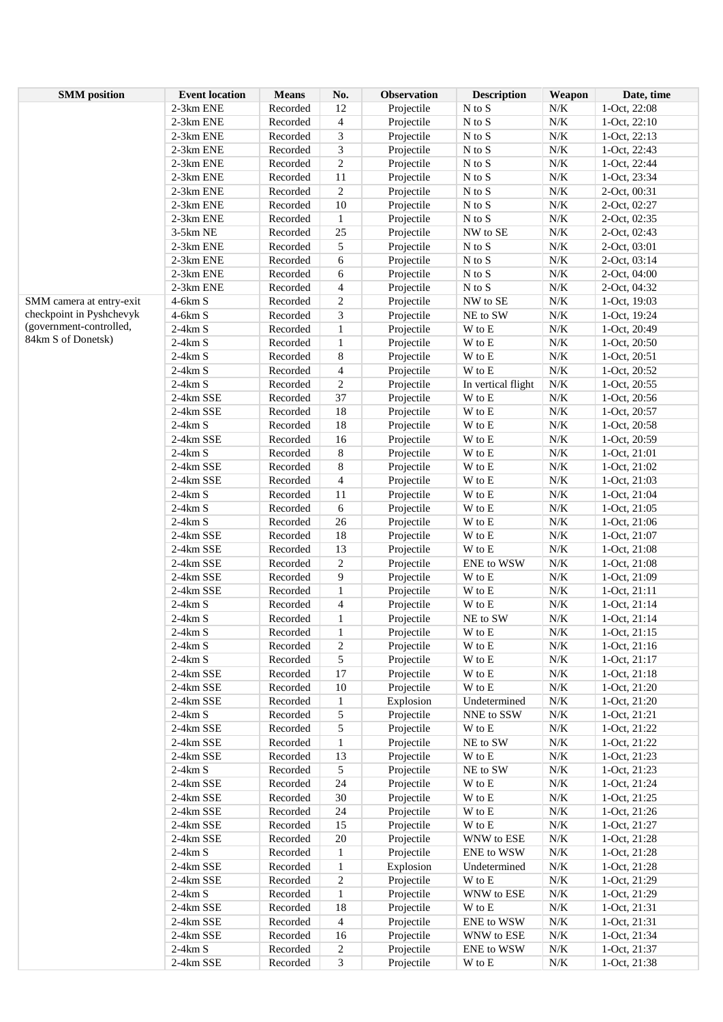| <b>SMM</b> position      | <b>Event location</b> | <b>Means</b> | No.            | Observation | <b>Description</b>         | Weapon    | Date, time     |
|--------------------------|-----------------------|--------------|----------------|-------------|----------------------------|-----------|----------------|
|                          | 2-3km ENE             | Recorded     | 12             | Projectile  | $N$ to $S$                 | $N\!/\!K$ | 1-Oct, 22:08   |
|                          | 2-3km ENE             | Recorded     | 4              | Projectile  | $\mathbf N$ to $\mathbf S$ | $N\!/\!K$ | 1-Oct, 22:10   |
|                          | 2-3km ENE             | Recorded     | 3              | Projectile  | $N$ to $S$                 | $N\!/\!K$ | 1-Oct, 22:13   |
|                          | 2-3km ENE             | Recorded     | 3              | Projectile  | $\mathbf N$ to $\mathbf S$ | $N\!/\!K$ | 1-Oct, 22:43   |
|                          | 2-3km ENE             | Recorded     | $\overline{c}$ | Projectile  | $\mathbf N$ to $\mathbf S$ | $N\!/\!K$ | 1-Oct, 22:44   |
|                          | 2-3km ENE             | Recorded     | 11             | Projectile  | $\mathbf N$ to $\mathbf S$ | $N\!/\!K$ | 1-Oct, 23:34   |
|                          | 2-3km ENE             | Recorded     | $\overline{2}$ | Projectile  | $\mathbf N$ to $\mathbf S$ | $N\!/\!K$ | 2-Oct, 00:31   |
|                          | 2-3km ENE             | Recorded     | 10             | Projectile  | $\mathbf N$ to $\mathbf S$ | $N\!/\!K$ | 2-Oct, 02:27   |
|                          | 2-3km ENE             | Recorded     | $\mathbf{1}$   | Projectile  | $N$ to $S$                 | $N\!/\!K$ | 2-Oct, 02:35   |
|                          | 3-5km NE              | Recorded     | $25\,$         | Projectile  | NW to SE                   | $N\!/\!K$ | 2-Oct, 02:43   |
|                          | 2-3km ENE             | Recorded     | 5              | Projectile  | $\mathbf N$ to $\mathbf S$ | $N\!/\!K$ | 2-Oct, 03:01   |
|                          | 2-3km ENE             | Recorded     | 6              | Projectile  | $\mathbf N$ to $\mathbf S$ | $N\!/\!K$ | 2-Oct, 03:14   |
|                          | 2-3km ENE             | Recorded     | 6              | Projectile  | N to S                     | $N\!/\!K$ | 2-Oct, 04:00   |
|                          | 2-3km ENE             | Recorded     | $\overline{4}$ | Projectile  | $\mathbf N$ to $\mathbf S$ | $N\!/\!K$ | 2-Oct, 04:32   |
| SMM camera at entry-exit | $4-6km S$             | Recorded     | $\overline{c}$ | Projectile  | NW to SE                   | $N\!/\!K$ | 1-Oct, 19:03   |
| checkpoint in Pyshchevyk | $4-6km S$             | Recorded     | 3              | Projectile  | NE to SW                   | $N\!/\!K$ | 1-Oct, 19:24   |
| (government-controlled,  | $2-4km S$             | Recorded     | $\mathbf{1}$   | Projectile  | $\mathbf W$ to $\mathbf E$ | $N\!/\!K$ | 1-Oct, 20:49   |
| 84km S of Donetsk)       | $2-4km S$             | Recorded     | $\,1\,$        | Projectile  | $\mathbf W$ to $\mathbf E$ | $N\!/\!K$ | $1-Oct, 20:50$ |
|                          | $2-4km S$             | Recorded     | $\,8$          | Projectile  | $\mathbf W$ to $\mathbf E$ | $N\!/\!K$ | 1-Oct, 20:51   |
|                          | $2-4km S$             | Recorded     | $\overline{4}$ | Projectile  | $\mathbf W$ to $\mathbf E$ | $N\!/\!K$ | 1-Oct, 20:52   |
|                          | $2-4km S$             | Recorded     | $\overline{2}$ | Projectile  | In vertical flight         | $N\!/\!K$ | 1-Oct, 20:55   |
|                          | 2-4km SSE             | Recorded     | 37             | Projectile  | W to E                     | $N\!/\!K$ | 1-Oct, 20:56   |
|                          | 2-4km SSE             | Recorded     | 18             | Projectile  | $\mathbf W$ to $\mathbf E$ | $N\!/\!K$ | 1-Oct, 20:57   |
|                          | $2-4km S$             | Recorded     | 18             | Projectile  | W to E                     | $N\!/\!K$ | 1-Oct, 20:58   |
|                          | 2-4km SSE             | Recorded     | 16             | Projectile  | $\mathbf W$ to $\mathbf E$ | $N\!/\!K$ | 1-Oct, 20:59   |
|                          | $2-4km S$             | Recorded     | $\,8\,$        | Projectile  | $\mathbf W$ to $\mathbf E$ | $N\!/\!K$ | 1-Oct, 21:01   |
|                          | 2-4km SSE             | Recorded     | $\,$ 8 $\,$    | Projectile  | $\mathbf W$ to $\mathbf E$ | $N\!/\!K$ | $1-Oct, 21:02$ |
|                          | 2-4km SSE             | Recorded     | $\overline{4}$ | Projectile  | $\mathbf W$ to $\mathbf E$ | $N\!/\!K$ | 1-Oct, 21:03   |
|                          | $2-4km S$             | Recorded     | 11             | Projectile  | W to E                     | $N\!/\!K$ | 1-Oct, 21:04   |
|                          | $2-4km S$             | Recorded     | $\sqrt{6}$     | Projectile  | $\mathbf W$ to $\mathbf E$ | $N\!/\!K$ | 1-Oct, 21:05   |
|                          | $2-4km S$             | Recorded     | 26             | Projectile  | W to E                     | $N\!/\!K$ | $1-Oct, 21:06$ |
|                          | 2-4km SSE             | Recorded     | $18\,$         | Projectile  | W to E                     | $N\!/\!K$ | 1-Oct, 21:07   |
|                          | 2-4km SSE             | Recorded     | 13             | Projectile  | W to E                     | $N\!/\!K$ | 1-Oct, 21:08   |
|                          | 2-4km SSE             | Recorded     | $\overline{c}$ | Projectile  | ENE to WSW                 | $N\!/\!K$ | 1-Oct, 21:08   |
|                          | 2-4km SSE             | Recorded     | 9              | Projectile  | $\mathbf W$ to $\mathbf E$ | $N\!/\!K$ | 1-Oct, 21:09   |
|                          | 2-4km SSE             | Recorded     | $\mathbf{1}$   | Projectile  | $\mathbf W$ to $\mathbf E$ | $N\!/\!K$ | $1-Oct, 21:11$ |
|                          | $2-4km S$             | Recorded     | $\overline{4}$ | Projectile  | $\mathbf W$ to $\mathbf E$ | $N\!/\!K$ | $1-Oct, 21:14$ |
|                          | $2-4km S$             | Recorded     | $\mathbf{1}$   | Projectile  | NE to SW                   | $N\!/\!K$ | $1-Oct, 21:14$ |
|                          | $2-4km S$             | Recorded     | 1              | Projectile  | W to E                     | $N\!/\!K$ | $1-Oct, 21:15$ |
|                          | $2-4km S$             | Recorded     | 2              | Projectile  | W to E                     | $N\!/\!K$ | $1-Oct, 21:16$ |
|                          | $2-4km S$             | Recorded     | 5              | Projectile  | $\mathbf W$ to $\mathbf E$ | $N\!/\!K$ | 1-Oct, 21:17   |
|                          | 2-4km SSE             | Recorded     | 17             | Projectile  | $\mathbf W$ to $\mathbf E$ | $N\!/\!K$ | $1-Oct, 21:18$ |
|                          | 2-4km SSE             | Recorded     | $10\,$         | Projectile  | $\mathbf W$ to $\mathbf E$ | $N\!/\!K$ | 1-Oct, 21:20   |
|                          | 2-4km SSE             | Recorded     | $\mathbf{1}$   | Explosion   | Undetermined               | $N\!/\!K$ | 1-Oct, 21:20   |
|                          | $2-4km S$             | Recorded     | 5              | Projectile  | NNE to SSW                 | $N\!/\!K$ | 1-Oct, 21:21   |
|                          | 2-4km SSE             | Recorded     | 5              | Projectile  | $\mathbf W$ to $\mathbf E$ | $N\!/\!K$ | $1-Oct, 21:22$ |
|                          | 2-4km SSE             | Recorded     | $\mathbf{1}$   | Projectile  | NE to SW                   | $N\!/\!K$ | 1-Oct, 21:22   |
|                          | 2-4km SSE             | Recorded     | 13             | Projectile  | W to E                     | $N\!/\!K$ | $1-Oct, 21:23$ |
|                          | $2-4km S$             | Recorded     | $\sqrt{5}$     | Projectile  | NE to SW                   | $N\!/\!K$ | 1-Oct, 21:23   |
|                          | 2-4km SSE             | Recorded     | 24             | Projectile  | W to E                     | $N\!/\!K$ | 1-Oct, 21:24   |
|                          | 2-4km SSE             | Recorded     | 30             | Projectile  | W to E                     | $N\!/\!K$ | 1-Oct, 21:25   |
|                          | 2-4km SSE             | Recorded     | 24             | Projectile  | W to E                     | $N\!/\!K$ | 1-Oct, 21:26   |
|                          | 2-4km SSE             | Recorded     | 15             | Projectile  | $\mathbf W$ to $\mathbf E$ | $N\!/\!K$ | 1-Oct, 21:27   |
|                          | 2-4km SSE             | Recorded     | 20             | Projectile  | WNW to ESE                 | $N\!/\!K$ | 1-Oct, 21:28   |
|                          | $2-4km S$             | Recorded     | $\mathbf{1}$   | Projectile  | ENE to WSW                 | $N\!/\!K$ | $1-Oct, 21:28$ |
|                          | 2-4km SSE             | Recorded     | $\mathbf{1}$   | Explosion   | Undetermined               | $N\!/\!K$ | 1-Oct, 21:28   |
|                          | 2-4km SSE             | Recorded     | $\overline{c}$ | Projectile  | W to E                     | $N\!/\!K$ | $1-Oct, 21:29$ |
|                          | $2-4km S$             | Recorded     | $\mathbf{1}$   | Projectile  | WNW to ESE                 | $N\!/\!K$ | 1-Oct, 21:29   |
|                          | 2-4km SSE             | Recorded     | 18             | Projectile  | W to E                     | $N\!/\!K$ | 1-Oct, 21:31   |
|                          | 2-4km SSE             | Recorded     | $\overline{4}$ | Projectile  | ENE to WSW                 | $N\!/\!K$ | 1-Oct, 21:31   |
|                          | 2-4km SSE             | Recorded     | 16             | Projectile  | WNW to ESE                 | $N\!/\!K$ | 1-Oct, 21:34   |
|                          | $2-4km S$             | Recorded     | $\overline{c}$ | Projectile  | ENE to WSW                 | $N\!/\!K$ | 1-Oct, 21:37   |
|                          | 2-4km SSE             | Recorded     | 3              | Projectile  | W to E                     | $N\!/\!K$ | 1-Oct, 21:38   |
|                          |                       |              |                |             |                            |           |                |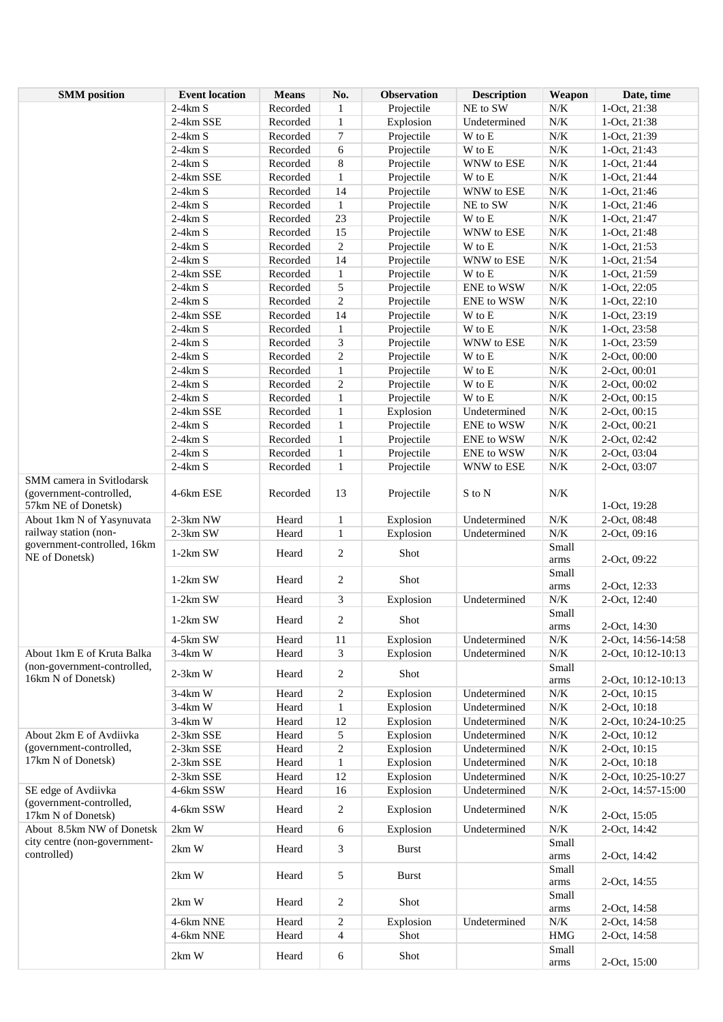| <b>SMM</b> position                                                         | <b>Event location</b> | <b>Means</b> | No.            | <b>Observation</b> | <b>Description</b> | Weapon            | Date, time         |
|-----------------------------------------------------------------------------|-----------------------|--------------|----------------|--------------------|--------------------|-------------------|--------------------|
|                                                                             | $2-4km S$             | Recorded     | 1              | Projectile         | NE to SW           | $N/K$             | 1-Oct, 21:38       |
|                                                                             | 2-4km SSE             | Recorded     | $\,1$          | Explosion          | Undetermined       | $N\!/\!K$         | 1-Oct, 21:38       |
|                                                                             | $2-4km S$             | Recorded     | 7              | Projectile         | W to E             | $N\!/\!K$         | 1-Oct, 21:39       |
|                                                                             | $2-4km S$             | Recorded     | 6              | Projectile         | W to E             | $N\!/\!K$         | 1-Oct, 21:43       |
|                                                                             | $2-4km S$             | Recorded     | 8              | Projectile         | WNW to ESE         | $N\!/\!K$         | 1-Oct, 21:44       |
|                                                                             | 2-4km SSE             | Recorded     | $\mathbf{1}$   | Projectile         | W to E             | $N\!/\!K$         | 1-Oct, 21:44       |
|                                                                             | $2-4km S$             | Recorded     | 14             | Projectile         | WNW to ESE         | $N\!/\!K$         | 1-Oct, 21:46       |
|                                                                             | $2-4km S$             | Recorded     | $\mathbf{1}$   | Projectile         | NE to SW           | $N\!/\!K$         | 1-Oct, 21:46       |
|                                                                             | $2-4km S$             | Recorded     | 23             | Projectile         | W to E             | $N\!/\!K$         | 1-Oct, 21:47       |
|                                                                             |                       |              |                |                    |                    |                   |                    |
|                                                                             | $2-4km S$             | Recorded     | 15             | Projectile         | WNW to ESE         | $N\!/\!K$         | 1-Oct, 21:48       |
|                                                                             | $2-4km S$             | Recorded     | $\overline{c}$ | Projectile         | W to E             | $N\!/\!K$         | 1-Oct, 21:53       |
|                                                                             | $2-4km S$             | Recorded     | 14             | Projectile         | WNW to ESE         | $N\!/\!K$         | 1-Oct, 21:54       |
|                                                                             | 2-4km SSE             | Recorded     | $\mathbf{1}$   | Projectile         | W to E             | $N\!/\!K$         | 1-Oct, 21:59       |
|                                                                             | $2-4km S$             | Recorded     | 5              | Projectile         | <b>ENE</b> to WSW  | ${\rm N/K}$       | 1-Oct, 22:05       |
|                                                                             | $2-4km S$             | Recorded     | $\overline{c}$ | Projectile         | ENE to WSW         | $N\!/\!K$         | 1-Oct, 22:10       |
|                                                                             | 2-4km SSE             | Recorded     | 14             | Projectile         | W to E             | $N\!/\!K$         | 1-Oct, 23:19       |
|                                                                             | $2-4km S$             | Recorded     | $\mathbf{1}$   | Projectile         | W to E             | ${\rm N/K}$       | 1-Oct, 23:58       |
|                                                                             | $2-4km S$             | Recorded     | 3              | Projectile         | WNW to ESE         | $N\!/\!K$         | 1-Oct, 23:59       |
|                                                                             | $2-4km S$             | Recorded     | $\overline{c}$ | Projectile         | W to E             | $N\!/\!K$         | 2-Oct, 00:00       |
|                                                                             | $2-4km S$             | Recorded     | $\mathbf{1}$   | Projectile         | W to E             | $N\!/\!K$         | 2-Oct, 00:01       |
|                                                                             | $2-4km S$             | Recorded     | $\overline{c}$ | Projectile         | W to E             | $N\!/\!K$         | 2-Oct, 00:02       |
|                                                                             | $2-4km S$             | Recorded     | $\mathbf{1}$   | Projectile         | W to E             | $N\!/\!K$         | 2-Oct, 00:15       |
|                                                                             | 2-4km SSE             | Recorded     | $\mathbf{1}$   | Explosion          | Undetermined       | $N\!/\!K$         | 2-Oct, 00:15       |
|                                                                             | $2-4km S$             | Recorded     | $\mathbf{1}$   | Projectile         | ENE to WSW         | $N\!/\!K$         | 2-Oct, 00:21       |
|                                                                             | $2-4km S$             | Recorded     | $\mathbf{1}$   | Projectile         | ENE to WSW         | $N\!/\!K$         | 2-Oct, 02:42       |
|                                                                             | $2-4km S$             | Recorded     | $\mathbf{1}$   |                    |                    | $N\!/\!K$         |                    |
|                                                                             |                       |              |                | Projectile         | ENE to WSW         |                   | 2-Oct, 03:04       |
|                                                                             | $2-4km S$             | Recorded     | $\mathbf{1}$   | Projectile         | WNW to ESE         | $N\!/\!K$         | 2-Oct, 03:07       |
| SMM camera in Svitlodarsk<br>(government-controlled,<br>57km NE of Donetsk) | 4-6km ESE             | Recorded     | 13             | Projectile         | S to N             | $N\!/\!K$         | 1-Oct, 19:28       |
| About 1km N of Yasynuvata                                                   | 2-3km NW              | Heard        | $\mathbf{1}$   | Explosion          | Undetermined       | $N\!/\!K$         | 2-Oct, 08:48       |
| railway station (non-                                                       | 2-3km SW              | Heard        | $\mathbf{1}$   | Explosion          | Undetermined       | $N\!/\!K$         | 2-Oct, 09:16       |
| government-controlled, 16km                                                 |                       |              |                |                    |                    | Small             |                    |
| NE of Donetsk)                                                              | $1-2km$ SW            | Heard        | $\overline{c}$ | Shot               |                    | arms              | 2-Oct, 09:22       |
|                                                                             |                       |              |                |                    |                    | Small             |                    |
|                                                                             | $1-2km$ SW            | Heard        | $\overline{c}$ | Shot               |                    | arms              | 2-Oct, 12:33       |
|                                                                             | $1-2km$ SW            | Heard        | 3              | Explosion          | Undetermined       | $N\!/\!K$         | 2-Oct, 12:40       |
|                                                                             |                       |              |                |                    |                    | Small             |                    |
|                                                                             | 1-2km SW              | Heard        | $\overline{c}$ | Shot               |                    | arms              | 2-Oct, 14:30       |
|                                                                             | 4-5km SW              | Heard        | 11             | Explosion          | Undetermined       | N/K               | 2-Oct, 14:56-14:58 |
| About 1km E of Kruta Balka                                                  | $3-4km$ W             | Heard        | 3              | Explosion          | Undetermined       | $N\!/\!K$         | 2-Oct, 10:12-10:13 |
| (non-government-controlled,                                                 |                       |              |                |                    |                    | Small             |                    |
| 16km N of Donetsk)                                                          | $2-3km$ W             | Heard        | $\overline{c}$ | Shot               |                    |                   | 2-Oct, 10:12-10:13 |
|                                                                             | $3-4km$ W             | Heard        | $\overline{c}$ |                    |                    | arms<br>$N\!/\!K$ | 2-Oct, 10:15       |
|                                                                             |                       |              |                | Explosion          | Undetermined       |                   |                    |
|                                                                             | $3-4km$ W             | Heard        | $\mathbf{1}$   | Explosion          | Undetermined       | ${\rm N/K}$       | 2-Oct, 10:18       |
|                                                                             | $3-4km$ W             | Heard        | 12             | Explosion          | Undetermined       | $N\!/\!K$         | 2-Oct, 10:24-10:25 |
| About 2km E of Avdiivka                                                     | 2-3km SSE             | Heard        | 5              | Explosion          | Undetermined       | $N\!/\!K$         | 2-Oct, 10:12       |
| (government-controlled,                                                     | 2-3km SSE             | Heard        | $\overline{c}$ | Explosion          | Undetermined       | $N\!/\!K$         | 2-Oct, 10:15       |
| 17km N of Donetsk)                                                          | 2-3km SSE             | Heard        | $\mathbf{1}$   | Explosion          | Undetermined       | $N\!/\!K$         | 2-Oct, 10:18       |
|                                                                             | 2-3km SSE             | Heard        | 12             | Explosion          | Undetermined       | $N\!/\!K$         | 2-Oct, 10:25-10:27 |
| SE edge of Avdiivka                                                         | 4-6km SSW             | Heard        | 16             | Explosion          | Undetermined       | $N\!/\!K$         | 2-Oct, 14:57-15:00 |
| (government-controlled,<br>17km N of Donetsk)                               | 4-6km SSW             | Heard        | $\overline{c}$ | Explosion          | Undetermined       | $N/K$             | 2-Oct, 15:05       |
| About 8.5km NW of Donetsk                                                   | 2km W                 | Heard        | 6              | Explosion          | Undetermined       | $N\!/\!K$         | 2-Oct, 14:42       |
| city centre (non-government-<br>controlled)                                 | 2km W                 | Heard        | 3              | <b>Burst</b>       |                    | Small<br>arms     | 2-Oct, 14:42       |
|                                                                             | 2km W                 | Heard        | 5              | <b>Burst</b>       |                    | Small<br>arms     | 2-Oct, 14:55       |
|                                                                             | 2km W                 | Heard        | $\overline{c}$ | Shot               |                    | Small<br>arms     | 2-Oct, 14:58       |
|                                                                             | 4-6km NNE             | Heard        | 2              | Explosion          | Undetermined       | $N\!/\!K$         | 2-Oct, 14:58       |
|                                                                             | 4-6km NNE             | Heard        | 4              | Shot               |                    | <b>HMG</b>        | 2-Oct, 14:58       |
|                                                                             |                       |              |                |                    |                    | Small             |                    |
|                                                                             | 2km W                 | Heard        | 6              | Shot               |                    | arms              | 2-Oct, 15:00       |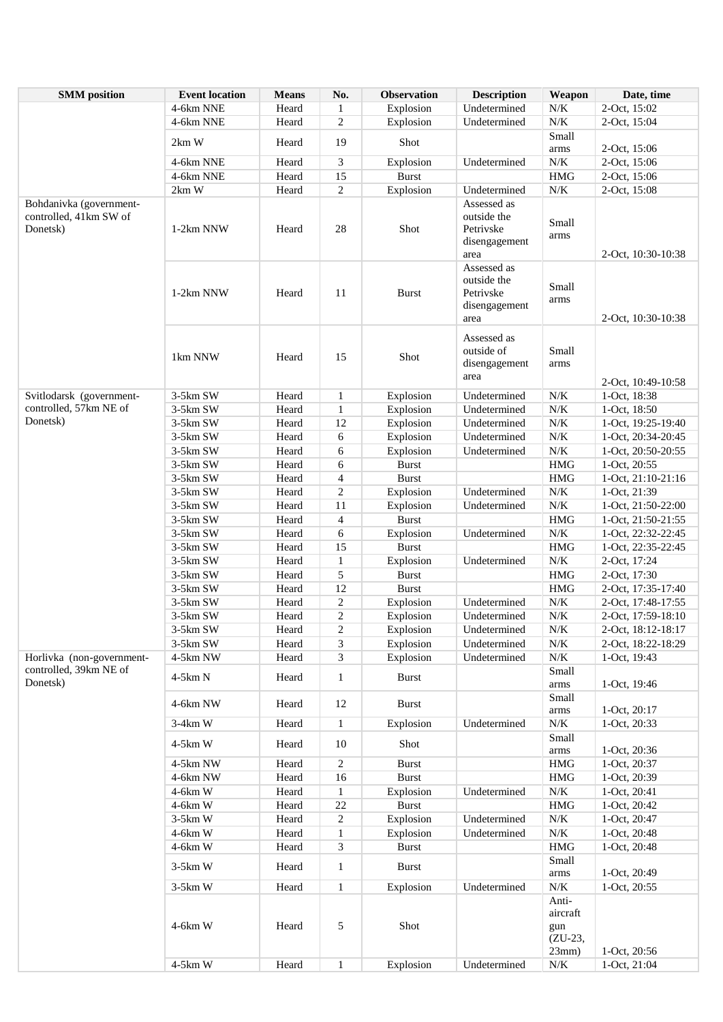| <b>SMM</b> position                                           | <b>Event location</b> | <b>Means</b>   | No.                     | <b>Observation</b>        | <b>Description</b>                                               | Weapon                                | Date, time                               |
|---------------------------------------------------------------|-----------------------|----------------|-------------------------|---------------------------|------------------------------------------------------------------|---------------------------------------|------------------------------------------|
|                                                               | 4-6km NNE             | Heard          | $\mathbf{1}$            | Explosion                 | Undetermined                                                     | $N/K$                                 | 2-Oct, 15:02                             |
|                                                               | 4-6km NNE             | Heard          | $\overline{c}$          | Explosion                 | Undetermined                                                     | $N\!/\!K$                             | 2-Oct, 15:04                             |
|                                                               | 2km W                 | Heard          | 19                      | Shot                      |                                                                  | Small                                 |                                          |
|                                                               |                       |                |                         |                           |                                                                  | arms                                  | 2-Oct, 15:06                             |
|                                                               | 4-6km NNE             | Heard          | 3                       | Explosion                 | Undetermined                                                     | $N/K$                                 | 2-Oct, 15:06                             |
|                                                               | 4-6km NNE             | Heard          | 15                      | <b>Burst</b>              |                                                                  | <b>HMG</b>                            | 2-Oct, 15:06                             |
|                                                               | 2km W                 | Heard          | $\overline{c}$          | Explosion                 | Undetermined                                                     | $N\!/\!K$                             | 2-Oct, 15:08                             |
| Bohdanivka (government-<br>controlled, 41km SW of<br>Donetsk) | 1-2km NNW             | Heard          | 28                      | Shot                      | Assessed as<br>outside the<br>Petrivske<br>disengagement<br>area | Small<br>arms                         | 2-Oct, 10:30-10:38                       |
|                                                               | 1-2km NNW             | Heard          | 11                      | Burst                     | Assessed as<br>outside the<br>Petrivske<br>disengagement<br>area | Small<br>arms                         | 2-Oct, 10:30-10:38                       |
|                                                               | 1km NNW               | Heard          | 15                      | Shot                      | Assessed as<br>outside of<br>disengagement<br>area               | Small<br>arms                         | 2-Oct, 10:49-10:58                       |
| Svitlodarsk (government-                                      | 3-5km SW              | Heard          | $\mathbf{1}$            | Explosion                 | Undetermined                                                     | $N\!/\!K$                             | 1-Oct, 18:38                             |
| controlled, 57km NE of                                        | 3-5km SW              | Heard          | $\mathbf{1}$            | Explosion                 | Undetermined                                                     | $N\!/\!K$                             | 1-Oct, 18:50                             |
| Donetsk)                                                      | 3-5km SW              | Heard          | 12                      | Explosion                 | Undetermined                                                     | $N\!/\!K$                             | 1-Oct, 19:25-19:40                       |
|                                                               | 3-5km SW              | Heard          | 6                       | Explosion                 | Undetermined                                                     | $N\!/\!K$                             | 1-Oct, 20:34-20:45                       |
|                                                               | 3-5km SW              | Heard          | 6                       | Explosion                 | Undetermined                                                     | $N\!/\!K$                             | 1-Oct, 20:50-20:55                       |
|                                                               | 3-5km SW              | Heard          | 6                       | <b>Burst</b>              |                                                                  | <b>HMG</b>                            | 1-Oct, 20:55                             |
|                                                               | 3-5km SW              | Heard          | 4                       | <b>Burst</b>              |                                                                  | <b>HMG</b>                            | 1-Oct, 21:10-21:16                       |
|                                                               | 3-5km SW              | Heard          | $\overline{c}$          | Explosion                 | Undetermined                                                     | $N\!/\!K$                             | 1-Oct, 21:39                             |
|                                                               | 3-5km SW              | Heard          | 11                      | Explosion                 | Undetermined                                                     | $N\!/\!K$                             | 1-Oct, 21:50-22:00                       |
|                                                               | 3-5km SW              | Heard<br>Heard | $\overline{4}$          | <b>Burst</b><br>Explosion | Undetermined                                                     | <b>HMG</b><br>N/K                     | 1-Oct, 21:50-21:55                       |
|                                                               | 3-5km SW<br>3-5km SW  | Heard          | 6<br>15                 | <b>Burst</b>              |                                                                  | <b>HMG</b>                            | 1-Oct, 22:32-22:45<br>1-Oct, 22:35-22:45 |
|                                                               | 3-5km SW              | Heard          | $\mathbf{1}$            | Explosion                 | Undetermined                                                     | $N\!/\!K$                             | 2-Oct, 17:24                             |
|                                                               | 3-5km SW              | Heard          | 5                       | <b>Burst</b>              |                                                                  | <b>HMG</b>                            | 2-Oct, 17:30                             |
|                                                               | 3-5km SW              | Heard          | 12                      | <b>Burst</b>              |                                                                  | <b>HMG</b>                            | 2-Oct, 17:35-17:40                       |
|                                                               | 3-5km SW              | Heard          | $\overline{c}$          | Explosion                 | Undetermined                                                     | $N\!/\!K$                             | 2-Oct, 17:48-17:55                       |
|                                                               | 3-5km SW              | Heard          | $\overline{c}$          | Explosion                 | Undetermined                                                     | $N/K$                                 | 2-Oct, 17:59-18:10                       |
|                                                               | 3-5km SW              | Heard          | $\overline{\mathbf{c}}$ | Explosion                 | Undetermined                                                     | N/K                                   | 2-Oct, 18:12-18:17                       |
|                                                               | 3-5km SW              | Heard          | 3                       | Explosion                 | Undetermined                                                     | N/K                                   | 2-Oct, 18:22-18:29                       |
| Horlivka (non-government-                                     | 4-5km NW              | Heard          | 3                       | Explosion                 | Undetermined                                                     | $N\!/\!K$                             | 1-Oct, 19:43                             |
| controlled, 39km NE of<br>Donetsk)                            | 4-5km N               | Heard          | $\mathbf{1}$            | <b>Burst</b>              |                                                                  | Small<br>arms                         | 1-Oct, 19:46                             |
|                                                               | 4-6km NW              | Heard          | 12                      | <b>Burst</b>              |                                                                  | Small<br>arms                         | 1-Oct, 20:17                             |
|                                                               | $3-4km$ W             | Heard          | $\mathbf{1}$            | Explosion                 | Undetermined                                                     | $N/K$                                 | 1-Oct, 20:33                             |
|                                                               | $4-5km$ W             | Heard          | 10                      | Shot                      |                                                                  | Small<br>arms                         | 1-Oct, 20:36                             |
|                                                               | 4-5km NW              | Heard          | $\overline{c}$          | <b>Burst</b>              |                                                                  | <b>HMG</b>                            | 1-Oct, 20:37                             |
|                                                               | 4-6km NW              | Heard          | 16                      | <b>Burst</b>              |                                                                  | <b>HMG</b>                            | 1-Oct, 20:39                             |
|                                                               | 4-6km W               | Heard          | $\mathbf{1}$            | Explosion                 | Undetermined                                                     | $N\!/\!K$                             | 1-Oct, 20:41                             |
|                                                               | 4-6km W               | Heard          | $22\,$                  | <b>Burst</b>              |                                                                  | <b>HMG</b>                            | 1-Oct, 20:42                             |
|                                                               | $3-5km$ W             | Heard          | $\overline{c}$          | Explosion                 | Undetermined                                                     | $N\!/\!K$                             | 1-Oct, 20:47                             |
|                                                               | 4-6km W               | Heard          | $\mathbf{1}$            | Explosion                 | Undetermined                                                     | $N\!/\!K$                             | 1-Oct, 20:48                             |
|                                                               | 4-6km W               | Heard          | 3                       | <b>Burst</b>              |                                                                  | <b>HMG</b>                            | 1-Oct, 20:48                             |
|                                                               | $3-5km$ W             | Heard          | $\mathbf{1}$            | <b>Burst</b>              |                                                                  | Small<br>arms                         | 1-Oct, 20:49                             |
|                                                               | $3-5km$ W             | Heard          | $\mathbf{1}$            | Explosion                 | Undetermined                                                     | $N/K$                                 | 1-Oct, 20:55                             |
|                                                               | 4-6km W               | Heard          | 5                       | Shot                      |                                                                  | Anti-<br>aircraft<br>gun<br>$(ZU-23,$ |                                          |
|                                                               |                       |                |                         |                           |                                                                  | 23mm)                                 | 1-Oct, 20:56                             |
|                                                               | 4-5km W               | Heard          | $\mathbf{1}$            | Explosion                 | Undetermined                                                     | $N/K$                                 | 1-Oct, 21:04                             |